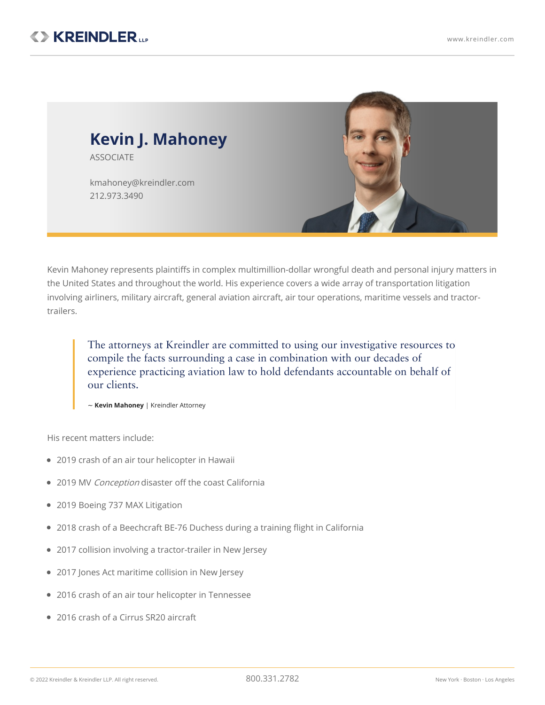

Kevin Mahoney represents plaintiffs in complex multimillion-dollar wrongful death and personal injury matters in the United States and throughout the world. His experience covers a wide array of transportation litigation involving airliners, military aircraft, general aviation aircraft, air tour operations, maritime vessels and tractortrailers.

The attorneys at Kreindler are committed to using our investigative resources to compile the facts surrounding a case in combination with our decades of experience practicing aviation law to hold defendants accountable on behalf of our clients.

~ **Kevin Mahoney** | Kreindler Attorney

His recent matters include:

- 2019 crash of an air tour [helicopter](https://www.kreindler.com/cases/as350-b2-helicopter-crash-hawaii) in Hawaii
- 2019 MV [Conception](https://www.kreindler.com/cases/conception-scuba-dive-boat-tragedy-california) disaster off the coast California
- 2019 Boeing 737 MAX [Litigation](https://www.kreindler.com/cases/et302-boeing-737-max-8-crash-ethiopia)
- 2018 crash of a Beechcraft BE-76 Duchess during a training flight in California
- 2017 collision involving a tractor-trailer in New Jersey
- 2017 Jones Act maritime collision in New Jersey
- 2016 crash of an air tour helicopter in Tennessee
- 2016 crash of a Cirrus SR20 aircraft